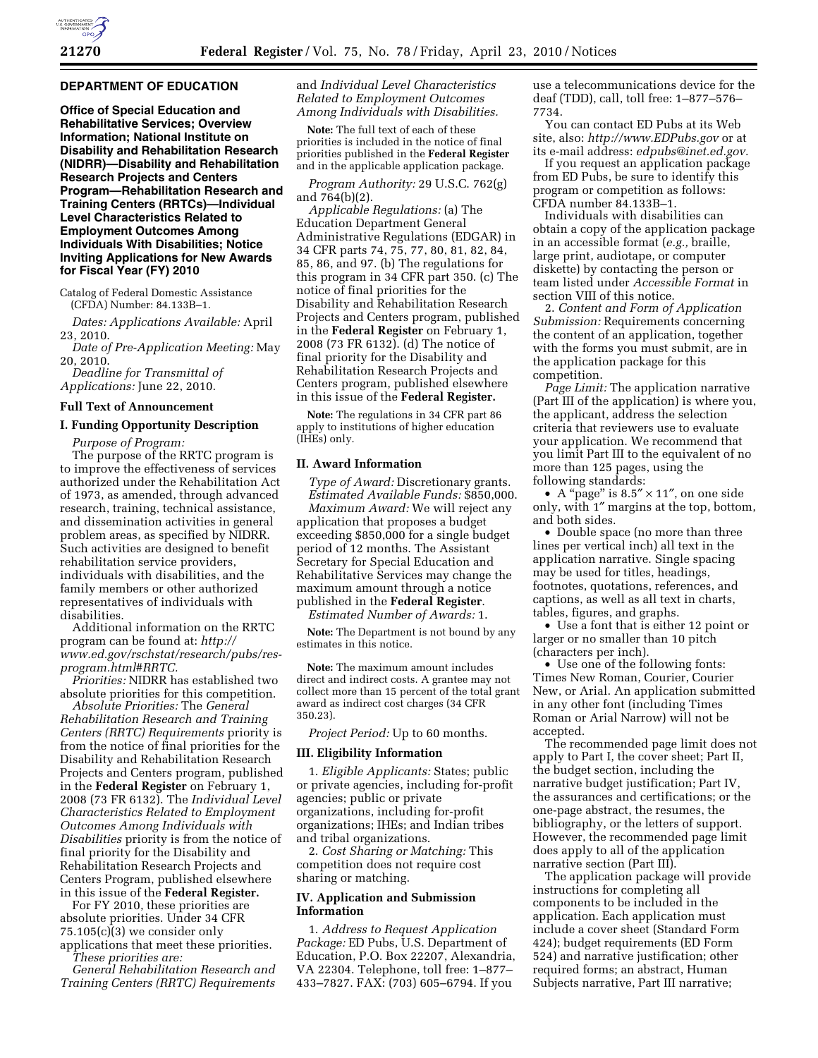# **DEPARTMENT OF EDUCATION**

**Office of Special Education and Rehabilitative Services; Overview Information; National Institute on Disability and Rehabilitation Research (NIDRR)—Disability and Rehabilitation Research Projects and Centers Program—Rehabilitation Research and Training Centers (RRTCs)—Individual Level Characteristics Related to Employment Outcomes Among Individuals With Disabilities; Notice Inviting Applications for New Awards for Fiscal Year (FY) 2010** 

Catalog of Federal Domestic Assistance (CFDA) Number: 84.133B–1.

*Dates: Applications Available:* April 23, 2010.

*Date of Pre-Application Meeting:* May 20, 2010.

*Deadline for Transmittal of Applications:* June 22, 2010.

## **Full Text of Announcement**

## **I. Funding Opportunity Description**

*Purpose of Program:* 

The purpose of the RRTC program is to improve the effectiveness of services authorized under the Rehabilitation Act of 1973, as amended, through advanced research, training, technical assistance, and dissemination activities in general problem areas, as specified by NIDRR. Such activities are designed to benefit rehabilitation service providers, individuals with disabilities, and the family members or other authorized representatives of individuals with disabilities.

Additional information on the RRTC program can be found at: *http:// www.ed.gov/rschstat/research/pubs/resprogram.html#RRTC.* 

*Priorities:* NIDRR has established two absolute priorities for this competition.

*Absolute Priorities:* The *General Rehabilitation Research and Training Centers (RRTC) Requirements* priority is from the notice of final priorities for the Disability and Rehabilitation Research Projects and Centers program, published in the **Federal Register** on February 1, 2008 (73 FR 6132). The *Individual Level Characteristics Related to Employment Outcomes Among Individuals with Disabilities* priority is from the notice of final priority for the Disability and Rehabilitation Research Projects and Centers Program, published elsewhere in this issue of the **Federal Register.** 

For FY 2010, these priorities are absolute priorities. Under 34 CFR  $75.105(c)(3)$  we consider only applications that meet these priorities.

*These priorities are: General Rehabilitation Research and Training Centers (RRTC) Requirements* 

and *Individual Level Characteristics Related to Employment Outcomes Among Individuals with Disabilities.* 

**Note:** The full text of each of these priorities is included in the notice of final priorities published in the **Federal Register**  and in the applicable application package.

*Program Authority:* 29 U.S.C. 762(g) and 764(b)(2).

*Applicable Regulations:* (a) The Education Department General Administrative Regulations (EDGAR) in 34 CFR parts 74, 75, 77, 80, 81, 82, 84, 85, 86, and 97. (b) The regulations for this program in 34 CFR part 350. (c) The notice of final priorities for the Disability and Rehabilitation Research Projects and Centers program, published in the **Federal Register** on February 1, 2008 (73 FR 6132). (d) The notice of final priority for the Disability and Rehabilitation Research Projects and Centers program, published elsewhere in this issue of the **Federal Register.** 

**Note:** The regulations in 34 CFR part 86 apply to institutions of higher education (IHEs) only.

#### **II. Award Information**

*Type of Award:* Discretionary grants. *Estimated Available Funds:* \$850,000. *Maximum Award:* We will reject any application that proposes a budget exceeding \$850,000 for a single budget period of 12 months. The Assistant Secretary for Special Education and Rehabilitative Services may change the maximum amount through a notice published in the **Federal Register**.

*Estimated Number of Awards:* 1.

**Note:** The Department is not bound by any estimates in this notice.

**Note:** The maximum amount includes direct and indirect costs. A grantee may not collect more than 15 percent of the total grant award as indirect cost charges (34 CFR 350.23).

*Project Period:* Up to 60 months.

#### **III. Eligibility Information**

1. *Eligible Applicants:* States; public or private agencies, including for-profit agencies; public or private organizations, including for-profit organizations; IHEs; and Indian tribes and tribal organizations.

2. *Cost Sharing or Matching:* This competition does not require cost sharing or matching.

## **IV. Application and Submission Information**

1. *Address to Request Application Package:* ED Pubs, U.S. Department of Education, P.O. Box 22207, Alexandria, VA 22304. Telephone, toll free: 1–877– 433–7827. FAX: (703) 605–6794. If you

use a telecommunications device for the deaf (TDD), call, toll free: 1–877–576– 7734.

You can contact ED Pubs at its Web site, also: *http://www.EDPubs.gov* or at its e-mail address: *edpubs@inet.ed.gov.* 

If you request an application package from ED Pubs, be sure to identify this program or competition as follows: CFDA number 84.133B–1.

Individuals with disabilities can obtain a copy of the application package in an accessible format (*e.g.,* braille, large print, audiotape, or computer diskette) by contacting the person or team listed under *Accessible Format* in section VIII of this notice.

2. *Content and Form of Application Submission:* Requirements concerning the content of an application, together with the forms you must submit, are in the application package for this competition.

*Page Limit:* The application narrative (Part III of the application) is where you, the applicant, address the selection criteria that reviewers use to evaluate your application. We recommend that you limit Part III to the equivalent of no more than 125 pages, using the following standards:

• A "page" is  $8.5'' \times 11''$ , on one side only, with 1″ margins at the top, bottom, and both sides.

• Double space (no more than three lines per vertical inch) all text in the application narrative. Single spacing may be used for titles, headings, footnotes, quotations, references, and captions, as well as all text in charts, tables, figures, and graphs.

• Use a font that is either 12 point or larger or no smaller than 10 pitch (characters per inch).

• Use one of the following fonts: Times New Roman, Courier, Courier New, or Arial. An application submitted in any other font (including Times Roman or Arial Narrow) will not be accepted.

The recommended page limit does not apply to Part I, the cover sheet; Part II, the budget section, including the narrative budget justification; Part IV, the assurances and certifications; or the one-page abstract, the resumes, the bibliography, or the letters of support. However, the recommended page limit does apply to all of the application narrative section (Part III).

The application package will provide instructions for completing all components to be included in the application. Each application must include a cover sheet (Standard Form 424); budget requirements (ED Form 524) and narrative justification; other required forms; an abstract, Human Subjects narrative, Part III narrative;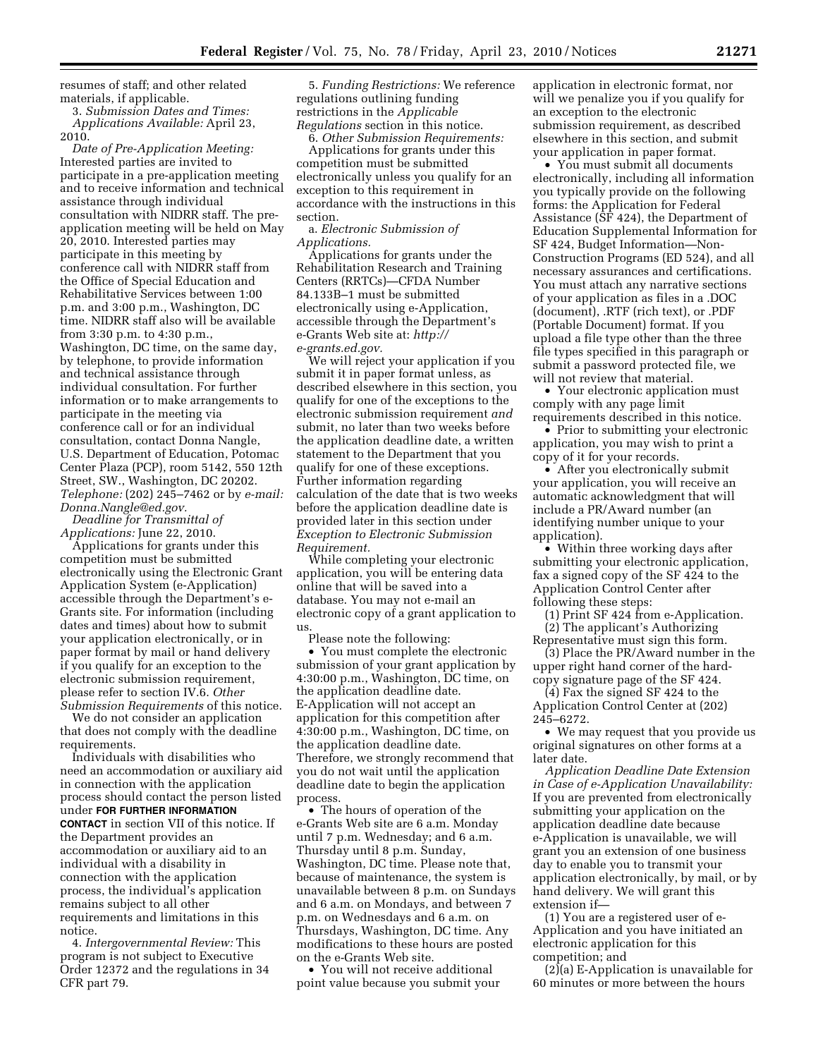resumes of staff; and other related materials, if applicable.

3. *Submission Dates and Times: Applications Available:* April 23, 2010.

*Date of Pre-Application Meeting:*  Interested parties are invited to participate in a pre-application meeting and to receive information and technical assistance through individual consultation with NIDRR staff. The preapplication meeting will be held on May 20, 2010. Interested parties may participate in this meeting by conference call with NIDRR staff from the Office of Special Education and Rehabilitative Services between 1:00 p.m. and 3:00 p.m., Washington, DC time. NIDRR staff also will be available from 3:30 p.m. to 4:30 p.m., Washington, DC time, on the same day, by telephone, to provide information and technical assistance through individual consultation. For further information or to make arrangements to participate in the meeting via conference call or for an individual consultation, contact Donna Nangle, U.S. Department of Education, Potomac Center Plaza (PCP), room 5142, 550 12th Street, SW., Washington, DC 20202. *Telephone:* (202) 245–7462 or by *e-mail: Donna.Nangle@ed.gov.* 

*Deadline for Transmittal of Applications:* June 22, 2010.

Applications for grants under this competition must be submitted electronically using the Electronic Grant Application System (e-Application) accessible through the Department's e-Grants site. For information (including dates and times) about how to submit your application electronically, or in paper format by mail or hand delivery if you qualify for an exception to the electronic submission requirement, please refer to section IV.6. *Other Submission Requirements* of this notice.

We do not consider an application that does not comply with the deadline requirements.

Individuals with disabilities who need an accommodation or auxiliary aid in connection with the application process should contact the person listed under **FOR FURTHER INFORMATION CONTACT** in section VII of this notice. If the Department provides an accommodation or auxiliary aid to an individual with a disability in connection with the application process, the individual's application remains subject to all other requirements and limitations in this notice.

4. *Intergovernmental Review:* This program is not subject to Executive Order 12372 and the regulations in 34 CFR part 79.

5. *Funding Restrictions:* We reference regulations outlining funding restrictions in the *Applicable Regulations* section in this notice.

6. *Other Submission Requirements:* 

Applications for grants under this competition must be submitted electronically unless you qualify for an exception to this requirement in accordance with the instructions in this section.

a. *Electronic Submission of Applications.* 

Applications for grants under the Rehabilitation Research and Training Centers (RRTCs)—CFDA Number 84.133B–1 must be submitted electronically using e-Application, accessible through the Department's e-Grants Web site at: *http:// e-grants.ed.gov.* 

We will reject your application if you submit it in paper format unless, as described elsewhere in this section, you qualify for one of the exceptions to the electronic submission requirement *and*  submit, no later than two weeks before the application deadline date, a written statement to the Department that you qualify for one of these exceptions. Further information regarding calculation of the date that is two weeks before the application deadline date is provided later in this section under *Exception to Electronic Submission Requirement.* 

While completing your electronic application, you will be entering data online that will be saved into a database. You may not e-mail an electronic copy of a grant application to us.

Please note the following: • You must complete the electronic submission of your grant application by 4:30:00 p.m., Washington, DC time, on the application deadline date. E-Application will not accept an application for this competition after 4:30:00 p.m., Washington, DC time, on the application deadline date. Therefore, we strongly recommend that you do not wait until the application deadline date to begin the application process.

• The hours of operation of the e-Grants Web site are 6 a.m. Monday until 7 p.m. Wednesday; and 6 a.m. Thursday until 8 p.m. Sunday, Washington, DC time. Please note that, because of maintenance, the system is unavailable between 8 p.m. on Sundays and 6 a.m. on Mondays, and between 7 p.m. on Wednesdays and 6 a.m. on Thursdays, Washington, DC time. Any modifications to these hours are posted on the e-Grants Web site.

• You will not receive additional point value because you submit your application in electronic format, nor will we penalize you if you qualify for an exception to the electronic submission requirement, as described elsewhere in this section, and submit your application in paper format.

• You must submit all documents electronically, including all information you typically provide on the following forms: the Application for Federal Assistance (SF 424), the Department of Education Supplemental Information for SF 424, Budget Information—Non-Construction Programs (ED 524), and all necessary assurances and certifications. You must attach any narrative sections of your application as files in a .DOC (document), .RTF (rich text), or .PDF (Portable Document) format. If you upload a file type other than the three file types specified in this paragraph or submit a password protected file, we will not review that material.

• Your electronic application must comply with any page limit requirements described in this notice.

• Prior to submitting your electronic application, you may wish to print a copy of it for your records.

• After you electronically submit your application, you will receive an automatic acknowledgment that will include a PR/Award number (an identifying number unique to your application).

• Within three working days after submitting your electronic application, fax a signed copy of the SF 424 to the Application Control Center after following these steps:

(1) Print SF 424 from e-Application.

(2) The applicant's Authorizing Representative must sign this form.

(3) Place the PR/Award number in the upper right hand corner of the hardcopy signature page of the SF 424.

(4) Fax the signed SF 424 to the Application Control Center at (202) 245–6272.

• We may request that you provide us original signatures on other forms at a later date.

*Application Deadline Date Extension in Case of e-Application Unavailability:*  If you are prevented from electronically submitting your application on the application deadline date because e-Application is unavailable, we will grant you an extension of one business day to enable you to transmit your application electronically, by mail, or by hand delivery. We will grant this extension if—

(1) You are a registered user of e-Application and you have initiated an electronic application for this competition; and

 $(2)$ (a) E-Application is unavailable for 60 minutes or more between the hours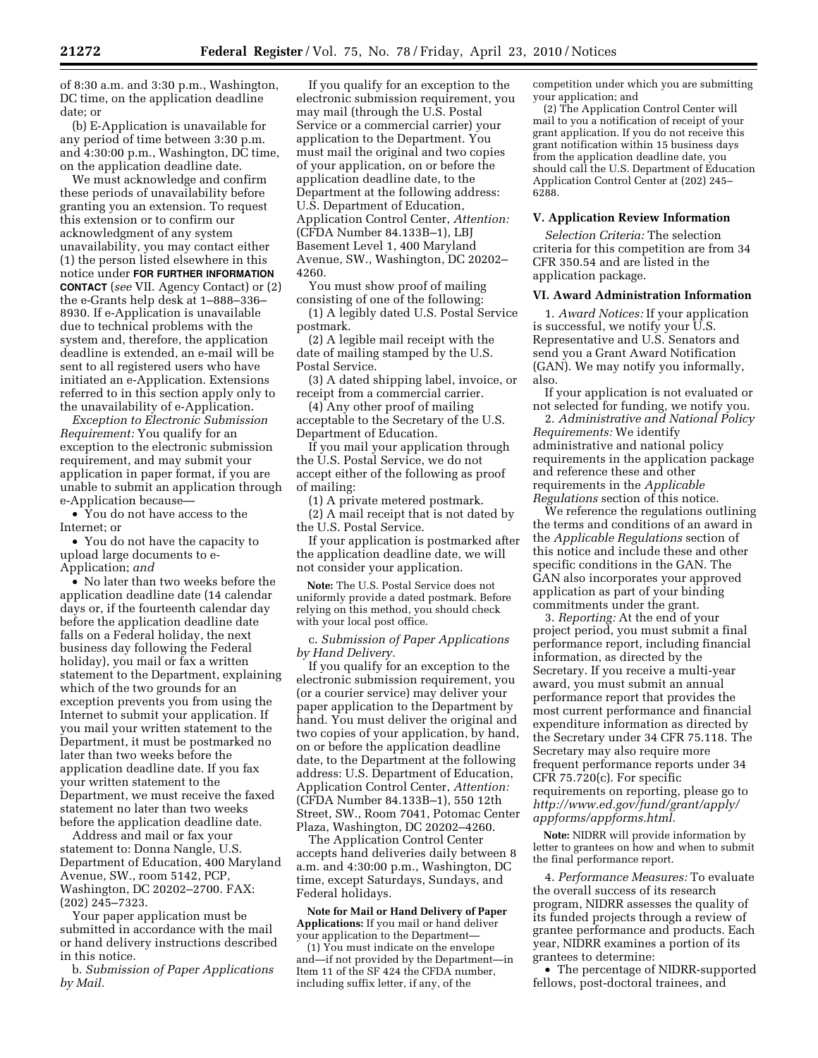of 8:30 a.m. and 3:30 p.m., Washington, DC time, on the application deadline date; or

(b) E-Application is unavailable for any period of time between 3:30 p.m. and 4:30:00 p.m., Washington, DC time, on the application deadline date.

We must acknowledge and confirm these periods of unavailability before granting you an extension. To request this extension or to confirm our acknowledgment of any system unavailability, you may contact either (1) the person listed elsewhere in this notice under **FOR FURTHER INFORMATION CONTACT** (*see* VII. Agency Contact) or (2) the e-Grants help desk at 1–888–336– 8930. If e-Application is unavailable due to technical problems with the system and, therefore, the application deadline is extended, an e-mail will be sent to all registered users who have initiated an e-Application. Extensions referred to in this section apply only to the unavailability of e-Application.

*Exception to Electronic Submission Requirement:* You qualify for an exception to the electronic submission requirement, and may submit your application in paper format, if you are unable to submit an application through e-Application because—

• You do not have access to the Internet; or

• You do not have the capacity to upload large documents to e-Application; *and* 

• No later than two weeks before the application deadline date (14 calendar days or, if the fourteenth calendar day before the application deadline date falls on a Federal holiday, the next business day following the Federal holiday), you mail or fax a written statement to the Department, explaining which of the two grounds for an exception prevents you from using the Internet to submit your application. If you mail your written statement to the Department, it must be postmarked no later than two weeks before the application deadline date. If you fax your written statement to the Department, we must receive the faxed statement no later than two weeks before the application deadline date.

Address and mail or fax your statement to: Donna Nangle, U.S. Department of Education, 400 Maryland Avenue, SW., room 5142, PCP, Washington, DC 20202–2700. FAX: (202) 245–7323.

Your paper application must be submitted in accordance with the mail or hand delivery instructions described in this notice.

b. *Submission of Paper Applications by Mail.* 

If you qualify for an exception to the electronic submission requirement, you may mail (through the U.S. Postal Service or a commercial carrier) your application to the Department. You must mail the original and two copies of your application, on or before the application deadline date, to the Department at the following address: U.S. Department of Education, Application Control Center, *Attention:*  (CFDA Number 84.133B–1), LBJ Basement Level 1, 400 Maryland Avenue, SW., Washington, DC 20202– 4260.

You must show proof of mailing consisting of one of the following:

(1) A legibly dated U.S. Postal Service postmark.

(2) A legible mail receipt with the date of mailing stamped by the U.S. Postal Service.

(3) A dated shipping label, invoice, or receipt from a commercial carrier.

(4) Any other proof of mailing acceptable to the Secretary of the U.S. Department of Education.

If you mail your application through the U.S. Postal Service, we do not accept either of the following as proof of mailing:

(1) A private metered postmark.

(2) A mail receipt that is not dated by the U.S. Postal Service.

If your application is postmarked after the application deadline date, we will not consider your application.

**Note:** The U.S. Postal Service does not uniformly provide a dated postmark. Before relying on this method, you should check with your local post office.

c. *Submission of Paper Applications by Hand Delivery.* 

If you qualify for an exception to the electronic submission requirement, you (or a courier service) may deliver your paper application to the Department by hand. You must deliver the original and two copies of your application, by hand, on or before the application deadline date, to the Department at the following address: U.S. Department of Education, Application Control Center, *Attention:*  (CFDA Number 84.133B–1), 550 12th Street, SW., Room 7041, Potomac Center Plaza, Washington, DC 20202–4260.

The Application Control Center accepts hand deliveries daily between 8 a.m. and 4:30:00 p.m., Washington, DC time, except Saturdays, Sundays, and Federal holidays.

**Note for Mail or Hand Delivery of Paper Applications:** If you mail or hand deliver your application to the Department— (1) You must indicate on the envelope

and—if not provided by the Department—in Item 11 of the SF 424 the CFDA number, including suffix letter, if any, of the

competition under which you are submitting your application; and

(2) The Application Control Center will mail to you a notification of receipt of your grant application. If you do not receive this grant notification within 15 business days from the application deadline date, you should call the U.S. Department of Education Application Control Center at (202) 245– 6288.

# **V. Application Review Information**

*Selection Criteria:* The selection criteria for this competition are from 34 CFR 350.54 and are listed in the application package.

## **VI. Award Administration Information**

1. *Award Notices:* If your application is successful, we notify your U.S. Representative and U.S. Senators and send you a Grant Award Notification (GAN). We may notify you informally, also.

If your application is not evaluated or not selected for funding, we notify you.

2. *Administrative and National Policy Requirements:* We identify administrative and national policy requirements in the application package and reference these and other requirements in the *Applicable Regulations* section of this notice.

We reference the regulations outlining the terms and conditions of an award in the *Applicable Regulations* section of this notice and include these and other specific conditions in the GAN. The GAN also incorporates your approved application as part of your binding commitments under the grant.

3. *Reporting:* At the end of your project period, you must submit a final performance report, including financial information, as directed by the Secretary. If you receive a multi-year award, you must submit an annual performance report that provides the most current performance and financial expenditure information as directed by the Secretary under 34 CFR 75.118. The Secretary may also require more frequent performance reports under 34 CFR 75.720(c). For specific requirements on reporting, please go to *http://www.ed.gov/fund/grant/apply/ appforms/appforms.html.* 

**Note:** NIDRR will provide information by letter to grantees on how and when to submit the final performance report.

4. *Performance Measures:* To evaluate the overall success of its research program, NIDRR assesses the quality of its funded projects through a review of grantee performance and products. Each year, NIDRR examines a portion of its grantees to determine:

• The percentage of NIDRR-supported fellows, post-doctoral trainees, and